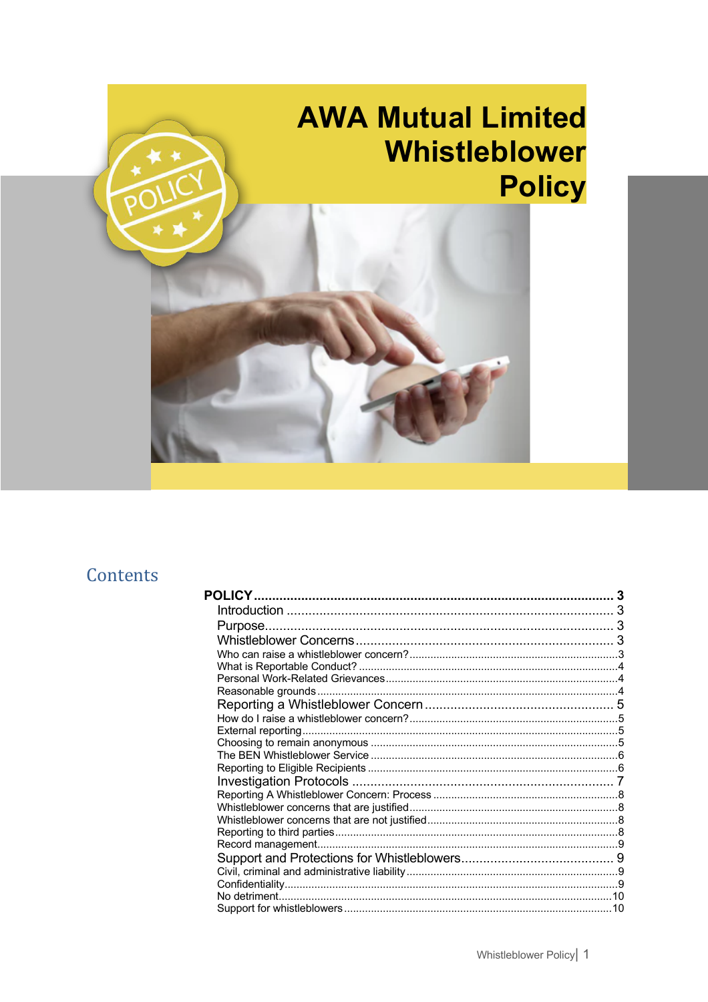

# Contents

| 3 |
|---|
|   |
|   |
|   |
|   |
|   |
|   |
|   |
|   |
|   |
|   |
|   |
|   |
|   |
|   |
|   |
|   |
|   |
|   |
|   |
|   |
|   |
|   |
|   |
|   |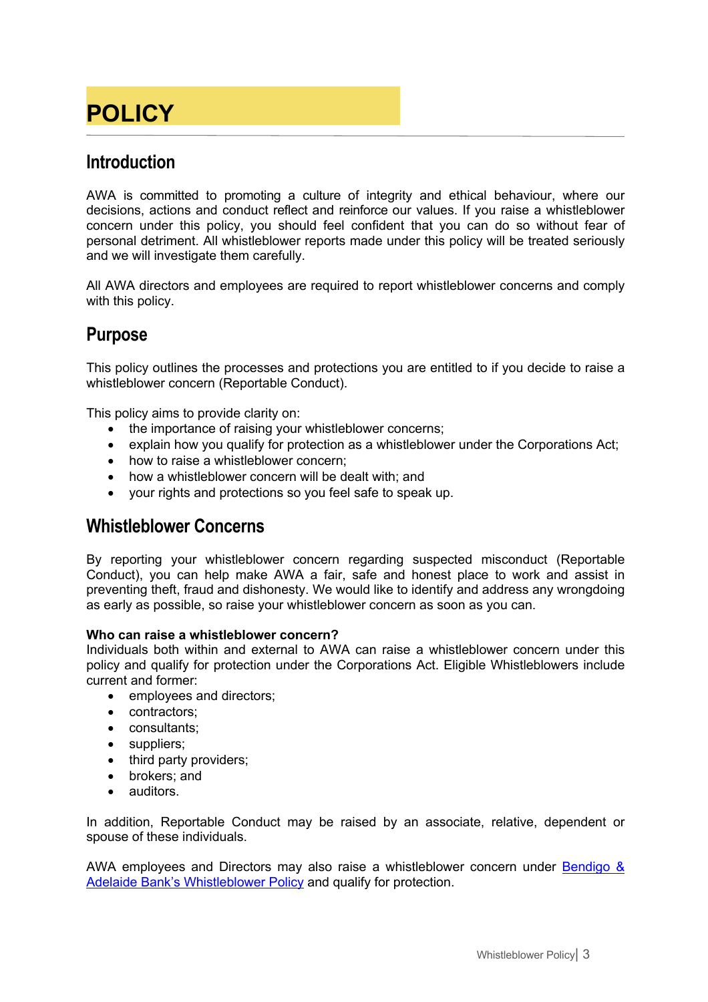# **POLICY**

## **Introduction**

AWA is committed to promoting a culture of integrity and ethical behaviour, where our decisions, actions and conduct reflect and reinforce our values. If you raise a whistleblower concern under this policy, you should feel confident that you can do so without fear of personal detriment. All whistleblower reports made under this policy will be treated seriously and we will investigate them carefully.

All AWA directors and employees are required to report whistleblower concerns and comply with this policy.

## **Purpose**

This policy outlines the processes and protections you are entitled to if you decide to raise a whistleblower concern (Reportable Conduct).

This policy aims to provide clarity on:

- the importance of raising your whistleblower concerns;
- explain how you qualify for protection as a whistleblower under the Corporations Act;
- how to raise a whistleblower concern;
- how a whistleblower concern will be dealt with: and
- your rights and protections so you feel safe to speak up.

### **Whistleblower Concerns**

By reporting your whistleblower concern regarding suspected misconduct (Reportable Conduct), you can help make AWA a fair, safe and honest place to work and assist in preventing theft, fraud and dishonesty. We would like to identify and address any wrongdoing as early as possible, so raise your whistleblower concern as soon as you can.

#### **Who can raise a whistleblower concern?**

Individuals both within and external to AWA can raise a whistleblower concern under this policy and qualify for protection under the Corporations Act. Eligible Whistleblowers include current and former:

- employees and directors;
- contractors:
- consultants;
- suppliers;
- third party providers;
- brokers; and
- auditors.

In addition, Reportable Conduct may be raised by an associate, relative, dependent or spouse of these individuals.

AWA employees and Directors may also raise a whistleblower concern under Bendigo & Adelaide Bank's Whistleblower Policy and qualify for protection.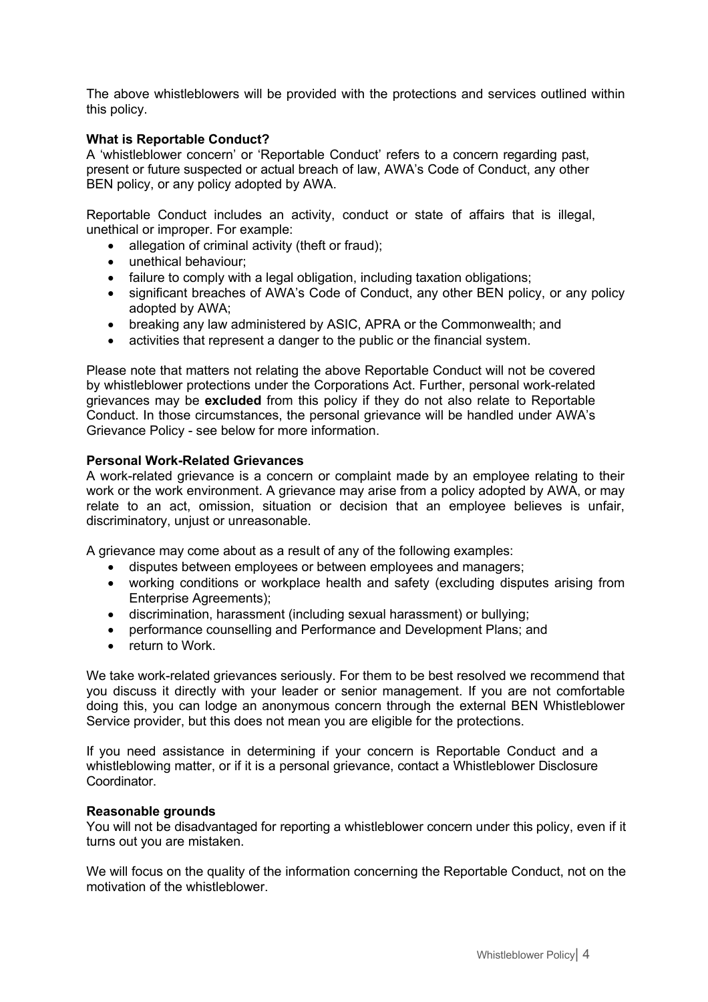The above whistleblowers will be provided with the protections and services outlined within this policy.

#### **What is Reportable Conduct?**

A 'whistleblower concern' or 'Reportable Conduct' refers to a concern regarding past, present or future suspected or actual breach of law, AWA's Code of Conduct, any other BEN policy, or any policy adopted by AWA.

Reportable Conduct includes an activity, conduct or state of affairs that is illegal, unethical or improper. For example:

- allegation of criminal activity (theft or fraud):
- unethical behaviour;
- failure to comply with a legal obligation, including taxation obligations;
- significant breaches of AWA's Code of Conduct, any other BEN policy, or any policy adopted by AWA;
- breaking any law administered by ASIC, APRA or the Commonwealth; and
- activities that represent a danger to the public or the financial system.

Please note that matters not relating the above Reportable Conduct will not be covered by whistleblower protections under the Corporations Act. Further, personal work-related grievances may be **excluded** from this policy if they do not also relate to Reportable Conduct. In those circumstances, the personal grievance will be handled under AWA's Grievance Policy - see below for more information.

#### **Personal Work-Related Grievances**

A work-related grievance is a concern or complaint made by an employee relating to their work or the work environment. A grievance may arise from a policy adopted by AWA, or may relate to an act, omission, situation or decision that an employee believes is unfair, discriminatory, unjust or unreasonable.

A grievance may come about as a result of any of the following examples:

- disputes between employees or between employees and managers;
- working conditions or workplace health and safety (excluding disputes arising from Enterprise Agreements);
- discrimination, harassment (including sexual harassment) or bullying;
- performance counselling and Performance and Development Plans; and
- return to Work.

We take work-related grievances seriously. For them to be best resolved we recommend that you discuss it directly with your leader or senior management. If you are not comfortable doing this, you can lodge an anonymous concern through the external BEN Whistleblower Service provider, but this does not mean you are eligible for the protections.

If you need assistance in determining if your concern is Reportable Conduct and a whistleblowing matter, or if it is a personal grievance, contact a Whistleblower Disclosure Coordinator.

#### **Reasonable grounds**

You will not be disadvantaged for reporting a whistleblower concern under this policy, even if it turns out you are mistaken.

We will focus on the quality of the information concerning the Reportable Conduct, not on the motivation of the whistleblower.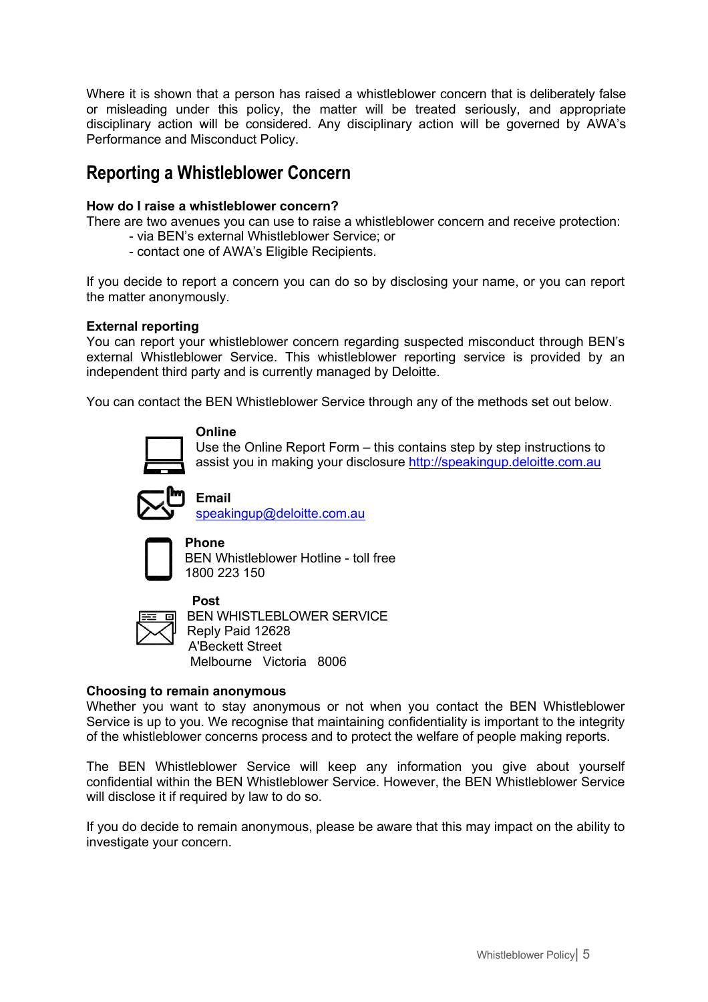Where it is shown that a person has raised a whistleblower concern that is deliberately false or misleading under this policy, the matter will be treated seriously, and appropriate disciplinary action will be considered. Any disciplinary action will be governed by AWA's Performance and Misconduct Policy.

## **Reporting a Whistleblower Concern**

#### **How do I raise a whistleblower concern?**

There are two avenues you can use to raise a whistleblower concern and receive protection:

- via BEN's external Whistleblower Service; or
- contact one of AWA's Eligible Recipients.

If you decide to report a concern you can do so by disclosing your name, or you can report the matter anonymously.

#### **External reporting**

You can report your whistleblower concern regarding suspected misconduct through BEN's external Whistleblower Service. This whistleblower reporting service is provided by an independent third party and is currently managed by Deloitte.

You can contact the BEN Whistleblower Service through any of the methods set out below.



#### **Online**

Use the Online Report Form – this contains step by step instructions to assist you in making your disclosure http://speakingup.deloitte.com.au



**Email** speakingup@deloitte.com.au

 **Phone** BEN Whistleblower Hotline - toll free 1800 223 150



 **Post** BEN WHISTLEBLOWER SERVICE Reply Paid 12628 A'Beckett Street Melbourne Victoria 8006

#### **Choosing to remain anonymous**

Whether you want to stay anonymous or not when you contact the BEN Whistleblower Service is up to you. We recognise that maintaining confidentiality is important to the integrity of the whistleblower concerns process and to protect the welfare of people making reports.

The BEN Whistleblower Service will keep any information you give about yourself confidential within the BEN Whistleblower Service. However, the BEN Whistleblower Service will disclose it if required by law to do so.

If you do decide to remain anonymous, please be aware that this may impact on the ability to investigate your concern.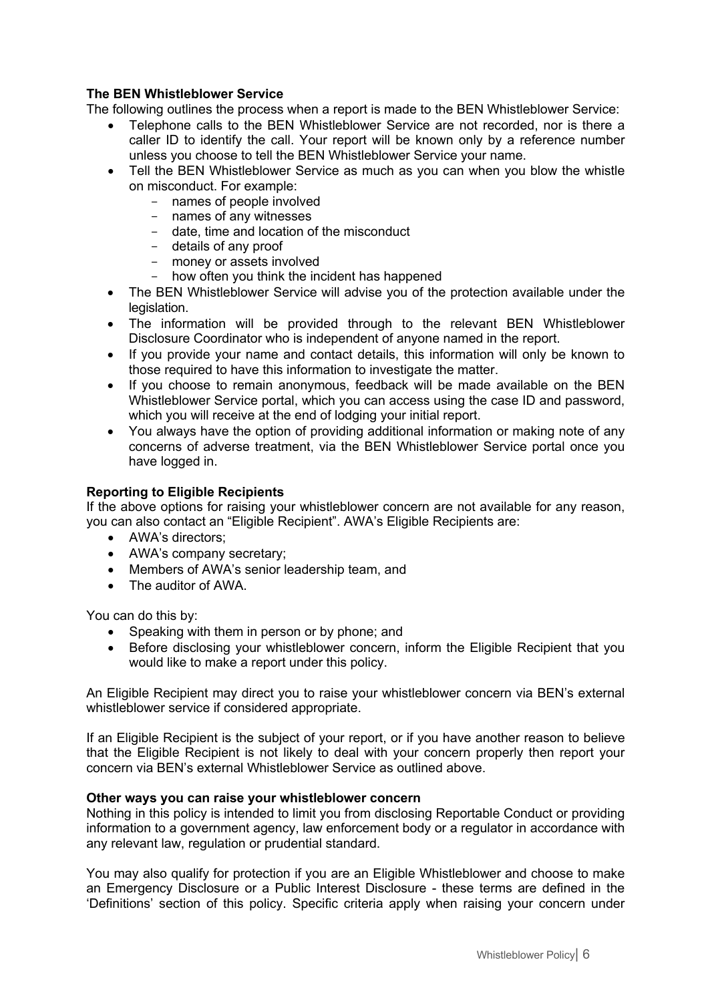#### **The BEN Whistleblower Service**

The following outlines the process when a report is made to the BEN Whistleblower Service:

- Telephone calls to the BEN Whistleblower Service are not recorded, nor is there a caller ID to identify the call. Your report will be known only by a reference number unless you choose to tell the BEN Whistleblower Service your name.
- Tell the BEN Whistleblower Service as much as you can when you blow the whistle on misconduct. For example:
	- names of people involved
	- names of any witnesses
	- date, time and location of the misconduct
	- details of any proof
	- money or assets involved
	- how often you think the incident has happened
- The BEN Whistleblower Service will advise you of the protection available under the legislation.
- The information will be provided through to the relevant BEN Whistleblower Disclosure Coordinator who is independent of anyone named in the report.
- If you provide your name and contact details, this information will only be known to those required to have this information to investigate the matter.
- If you choose to remain anonymous, feedback will be made available on the BEN Whistleblower Service portal, which you can access using the case ID and password, which you will receive at the end of lodging your initial report.
- You always have the option of providing additional information or making note of any concerns of adverse treatment, via the BEN Whistleblower Service portal once you have logged in.

#### **Reporting to Eligible Recipients**

If the above options for raising your whistleblower concern are not available for any reason, you can also contact an "Eligible Recipient". AWA's Eligible Recipients are:

- AWA's directors:
- AWA's company secretary;
- Members of AWA's senior leadership team, and
- The auditor of AWA

You can do this by:

- Speaking with them in person or by phone; and
- Before disclosing your whistleblower concern, inform the Eligible Recipient that you would like to make a report under this policy.

An Eligible Recipient may direct you to raise your whistleblower concern via BEN's external whistleblower service if considered appropriate.

If an Eligible Recipient is the subject of your report, or if you have another reason to believe that the Eligible Recipient is not likely to deal with your concern properly then report your concern via BEN's external Whistleblower Service as outlined above.

#### **Other ways you can raise your whistleblower concern**

Nothing in this policy is intended to limit you from disclosing Reportable Conduct or providing information to a government agency, law enforcement body or a regulator in accordance with any relevant law, regulation or prudential standard.

You may also qualify for protection if you are an Eligible Whistleblower and choose to make an Emergency Disclosure or a Public Interest Disclosure - these terms are defined in the 'Definitions' section of this policy. Specific criteria apply when raising your concern under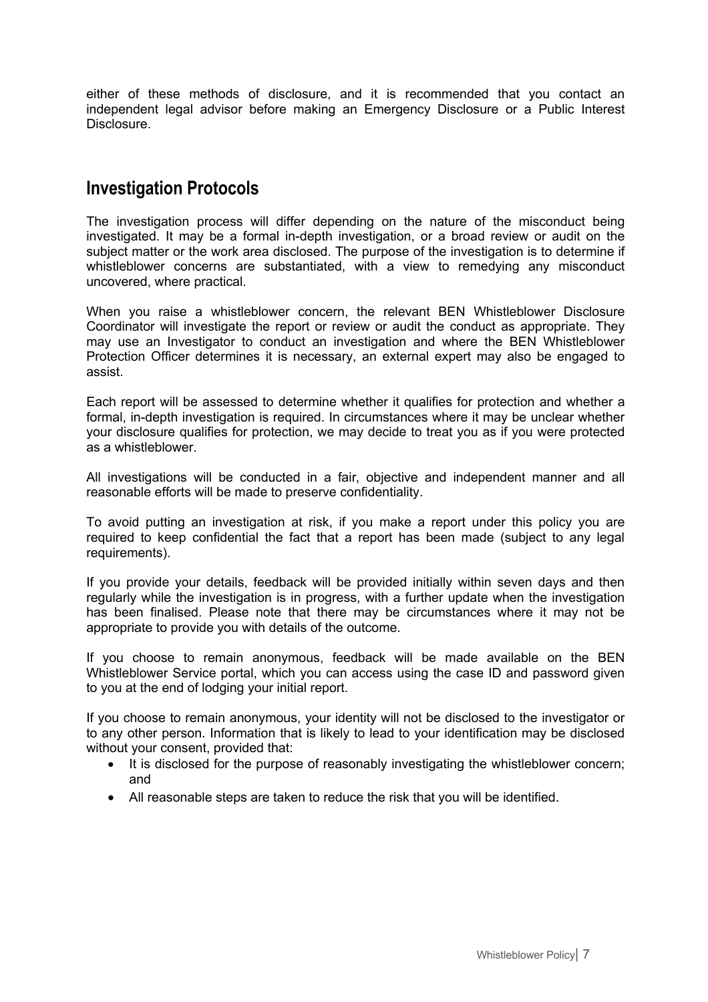either of these methods of disclosure, and it is recommended that you contact an independent legal advisor before making an Emergency Disclosure or a Public Interest Disclosure.

## **Investigation Protocols**

The investigation process will differ depending on the nature of the misconduct being investigated. It may be a formal in-depth investigation, or a broad review or audit on the subject matter or the work area disclosed. The purpose of the investigation is to determine if whistleblower concerns are substantiated, with a view to remedying any misconduct uncovered, where practical.

When you raise a whistleblower concern, the relevant BEN Whistleblower Disclosure Coordinator will investigate the report or review or audit the conduct as appropriate. They may use an Investigator to conduct an investigation and where the BEN Whistleblower Protection Officer determines it is necessary, an external expert may also be engaged to assist.

Each report will be assessed to determine whether it qualifies for protection and whether a formal, in-depth investigation is required. In circumstances where it may be unclear whether your disclosure qualifies for protection, we may decide to treat you as if you were protected as a whistleblower.

All investigations will be conducted in a fair, objective and independent manner and all reasonable efforts will be made to preserve confidentiality.

To avoid putting an investigation at risk, if you make a report under this policy you are required to keep confidential the fact that a report has been made (subject to any legal requirements).

If you provide your details, feedback will be provided initially within seven days and then regularly while the investigation is in progress, with a further update when the investigation has been finalised. Please note that there may be circumstances where it may not be appropriate to provide you with details of the outcome.

If you choose to remain anonymous, feedback will be made available on the BEN Whistleblower Service portal, which you can access using the case ID and password given to you at the end of lodging your initial report.

If you choose to remain anonymous, your identity will not be disclosed to the investigator or to any other person. Information that is likely to lead to your identification may be disclosed without your consent, provided that:

- It is disclosed for the purpose of reasonably investigating the whistleblower concern; and
- All reasonable steps are taken to reduce the risk that you will be identified.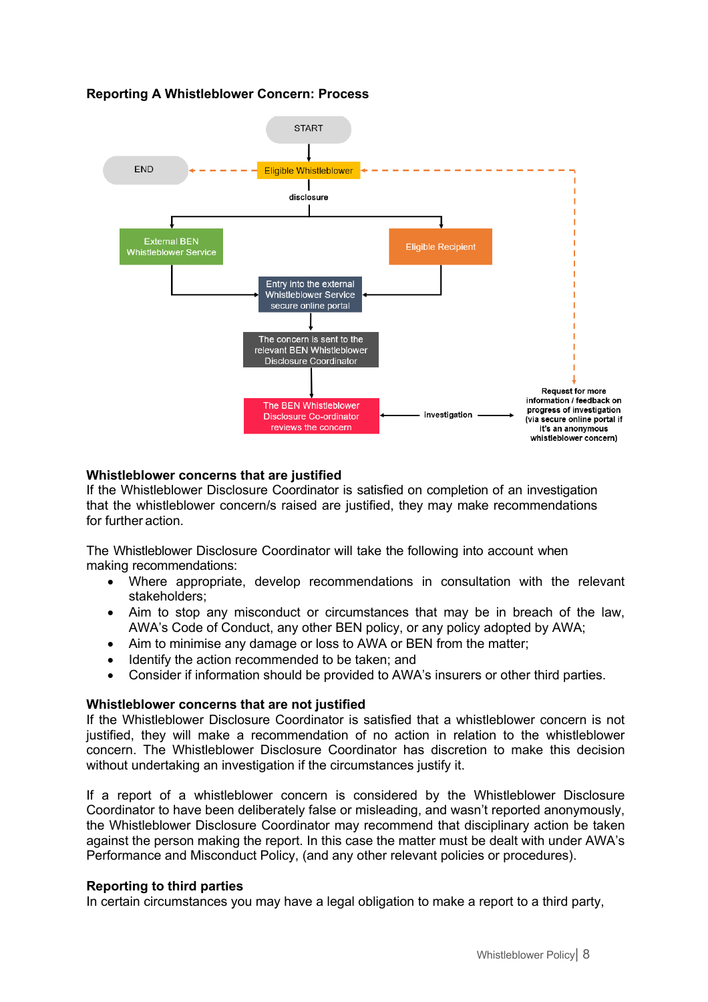#### **Reporting A Whistleblower Concern: Process**



#### **Whistleblower concerns that are justified**

If the Whistleblower Disclosure Coordinator is satisfied on completion of an investigation that the whistleblower concern/s raised are justified, they may make recommendations for further action.

The Whistleblower Disclosure Coordinator will take the following into account when making recommendations:

- Where appropriate, develop recommendations in consultation with the relevant stakeholders;
- Aim to stop any misconduct or circumstances that may be in breach of the law, AWA's Code of Conduct, any other BEN policy, or any policy adopted by AWA;
- Aim to minimise any damage or loss to AWA or BEN from the matter;
- Identify the action recommended to be taken; and
- Consider if information should be provided to AWA's insurers or other third parties.

#### **Whistleblower concerns that are not justified**

If the Whistleblower Disclosure Coordinator is satisfied that a whistleblower concern is not justified, they will make a recommendation of no action in relation to the whistleblower concern. The Whistleblower Disclosure Coordinator has discretion to make this decision without undertaking an investigation if the circumstances justify it.

If a report of a whistleblower concern is considered by the Whistleblower Disclosure Coordinator to have been deliberately false or misleading, and wasn't reported anonymously, the Whistleblower Disclosure Coordinator may recommend that disciplinary action be taken against the person making the report. In this case the matter must be dealt with under AWA's Performance and Misconduct Policy, (and any other relevant policies or procedures).

#### **Reporting to third parties**

In certain circumstances you may have a legal obligation to make a report to a third party,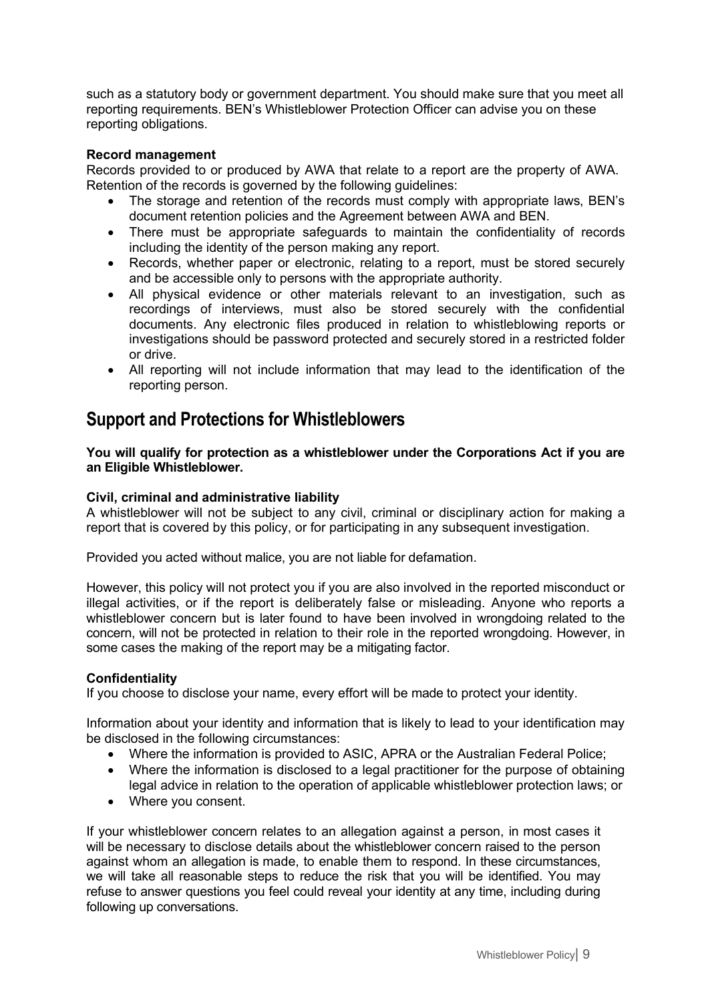such as a statutory body or government department. You should make sure that you meet all reporting requirements. BEN's Whistleblower Protection Officer can advise you on these reporting obligations.

#### **Record management**

Records provided to or produced by AWA that relate to a report are the property of AWA. Retention of the records is governed by the following guidelines:

- The storage and retention of the records must comply with appropriate laws, BEN's document retention policies and the Agreement between AWA and BEN.
- There must be appropriate safeguards to maintain the confidentiality of records including the identity of the person making any report.
- Records, whether paper or electronic, relating to a report, must be stored securely and be accessible only to persons with the appropriate authority.
- All physical evidence or other materials relevant to an investigation, such as recordings of interviews, must also be stored securely with the confidential documents. Any electronic files produced in relation to whistleblowing reports or investigations should be password protected and securely stored in a restricted folder or drive.
- All reporting will not include information that may lead to the identification of the reporting person.

### **Support and Protections for Whistleblowers**

**You will qualify for protection as a whistleblower under the Corporations Act if you are an Eligible Whistleblower.**

#### **Civil, criminal and administrative liability**

A whistleblower will not be subject to any civil, criminal or disciplinary action for making a report that is covered by this policy, or for participating in any subsequent investigation.

Provided you acted without malice, you are not liable for defamation.

However, this policy will not protect you if you are also involved in the reported misconduct or illegal activities, or if the report is deliberately false or misleading. Anyone who reports a whistleblower concern but is later found to have been involved in wrongdoing related to the concern, will not be protected in relation to their role in the reported wrongdoing. However, in some cases the making of the report may be a mitigating factor.

#### **Confidentiality**

If you choose to disclose your name, every effort will be made to protect your identity.

Information about your identity and information that is likely to lead to your identification may be disclosed in the following circumstances:

- Where the information is provided to ASIC, APRA or the Australian Federal Police;
- Where the information is disclosed to a legal practitioner for the purpose of obtaining legal advice in relation to the operation of applicable whistleblower protection laws; or
- Where you consent.

If your whistleblower concern relates to an allegation against a person, in most cases it will be necessary to disclose details about the whistleblower concern raised to the person against whom an allegation is made, to enable them to respond. In these circumstances, we will take all reasonable steps to reduce the risk that you will be identified. You may refuse to answer questions you feel could reveal your identity at any time, including during following up conversations.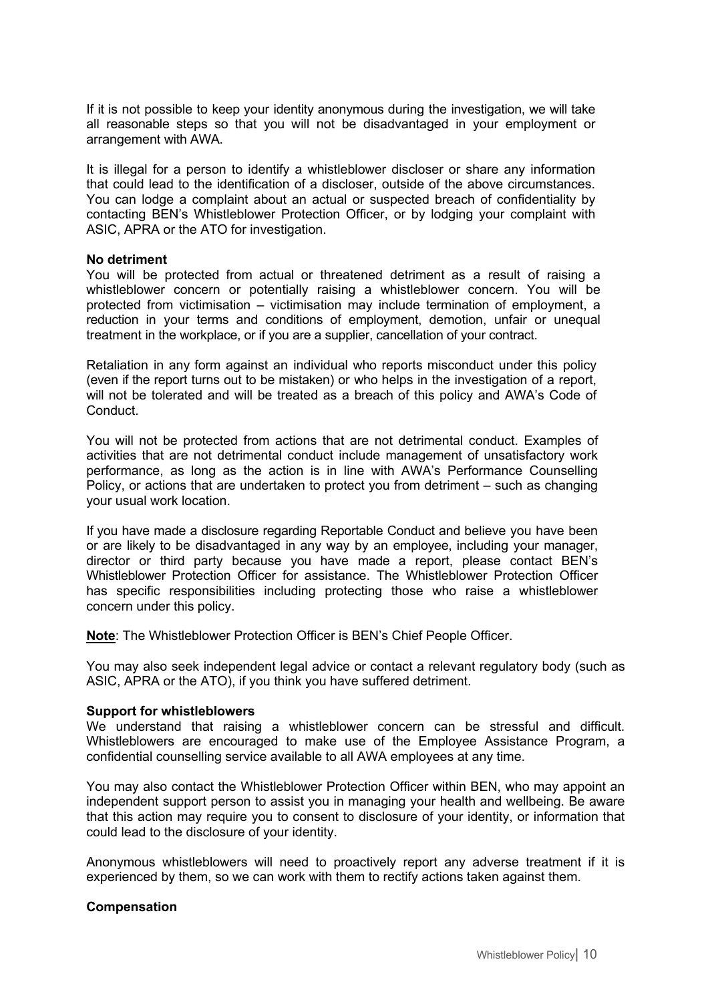If it is not possible to keep your identity anonymous during the investigation, we will take all reasonable steps so that you will not be disadvantaged in your employment or arrangement with AWA.

It is illegal for a person to identify a whistleblower discloser or share any information that could lead to the identification of a discloser, outside of the above circumstances. You can lodge a complaint about an actual or suspected breach of confidentiality by contacting BEN's Whistleblower Protection Officer, or by lodging your complaint with ASIC, APRA or the ATO for investigation.

#### **No detriment**

You will be protected from actual or threatened detriment as a result of raising a whistleblower concern or potentially raising a whistleblower concern. You will be protected from victimisation – victimisation may include termination of employment, a reduction in your terms and conditions of employment, demotion, unfair or unequal treatment in the workplace, or if you are a supplier, cancellation of your contract.

Retaliation in any form against an individual who reports misconduct under this policy (even if the report turns out to be mistaken) or who helps in the investigation of a report, will not be tolerated and will be treated as a breach of this policy and AWA's Code of Conduct.

You will not be protected from actions that are not detrimental conduct. Examples of activities that are not detrimental conduct include management of unsatisfactory work performance, as long as the action is in line with AWA's Performance Counselling Policy, or actions that are undertaken to protect you from detriment – such as changing your usual work location.

If you have made a disclosure regarding Reportable Conduct and believe you have been or are likely to be disadvantaged in any way by an employee, including your manager, director or third party because you have made a report, please contact BEN's Whistleblower Protection Officer for assistance. The Whistleblower Protection Officer has specific responsibilities including protecting those who raise a whistleblower concern under this policy.

**Note**: The Whistleblower Protection Officer is BEN's Chief People Officer.

You may also seek independent legal advice or contact a relevant regulatory body (such as ASIC, APRA or the ATO), if you think you have suffered detriment.

#### **Support for whistleblowers**

We understand that raising a whistleblower concern can be stressful and difficult. Whistleblowers are encouraged to make use of the Employee Assistance Program, a confidential counselling service available to all AWA employees at any time.

You may also contact the Whistleblower Protection Officer within BEN, who may appoint an independent support person to assist you in managing your health and wellbeing. Be aware that this action may require you to consent to disclosure of your identity, or information that could lead to the disclosure of your identity.

Anonymous whistleblowers will need to proactively report any adverse treatment if it is experienced by them, so we can work with them to rectify actions taken against them.

#### **Compensation**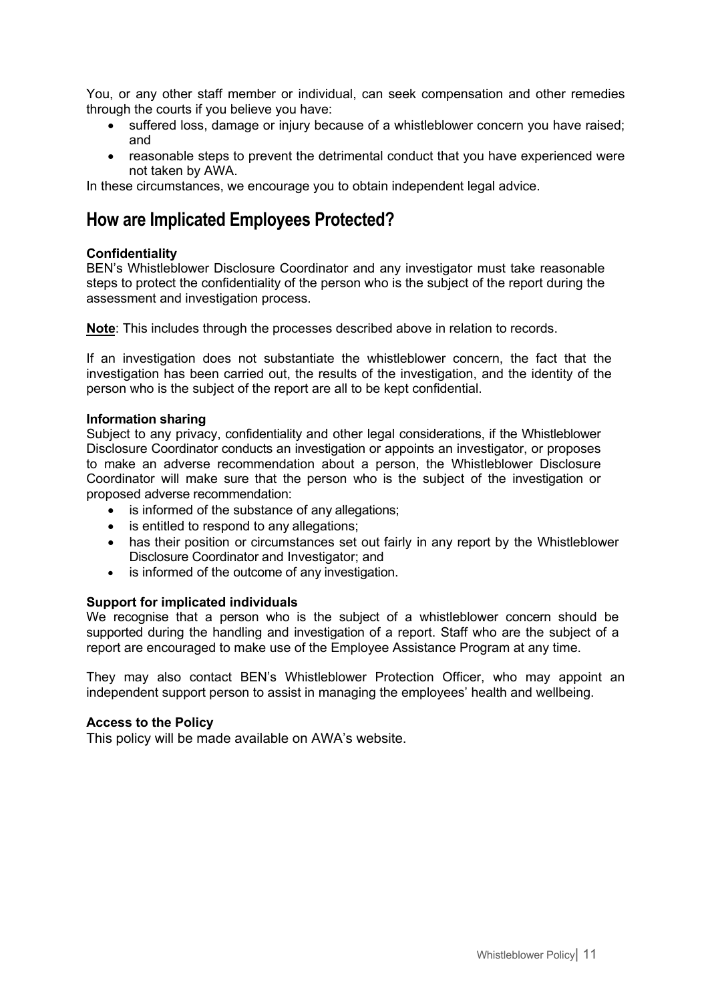You, or any other staff member or individual, can seek compensation and other remedies through the courts if you believe you have:

- suffered loss, damage or injury because of a whistleblower concern you have raised: and
- reasonable steps to prevent the detrimental conduct that you have experienced were not taken by AWA.

In these circumstances, we encourage you to obtain independent legal advice.

## **How are Implicated Employees Protected?**

#### **Confidentiality**

BEN's Whistleblower Disclosure Coordinator and any investigator must take reasonable steps to protect the confidentiality of the person who is the subject of the report during the assessment and investigation process.

**Note**: This includes through the processes described above in relation to records.

If an investigation does not substantiate the whistleblower concern, the fact that the investigation has been carried out, the results of the investigation, and the identity of the person who is the subject of the report are all to be kept confidential.

#### **Information sharing**

Subject to any privacy, confidentiality and other legal considerations, if the Whistleblower Disclosure Coordinator conducts an investigation or appoints an investigator, or proposes to make an adverse recommendation about a person, the Whistleblower Disclosure Coordinator will make sure that the person who is the subject of the investigation or proposed adverse recommendation:

- is informed of the substance of any allegations;
- is entitled to respond to any allegations;
- has their position or circumstances set out fairly in any report by the Whistleblower Disclosure Coordinator and Investigator; and
- is informed of the outcome of any investigation.

#### **Support for implicated individuals**

We recognise that a person who is the subject of a whistleblower concern should be supported during the handling and investigation of a report. Staff who are the subject of a report are encouraged to make use of the Employee Assistance Program at any time.

They may also contact BEN's Whistleblower Protection Officer, who may appoint an independent support person to assist in managing the employees' health and wellbeing.

#### **Access to the Policy**

This policy will be made available on AWA's website.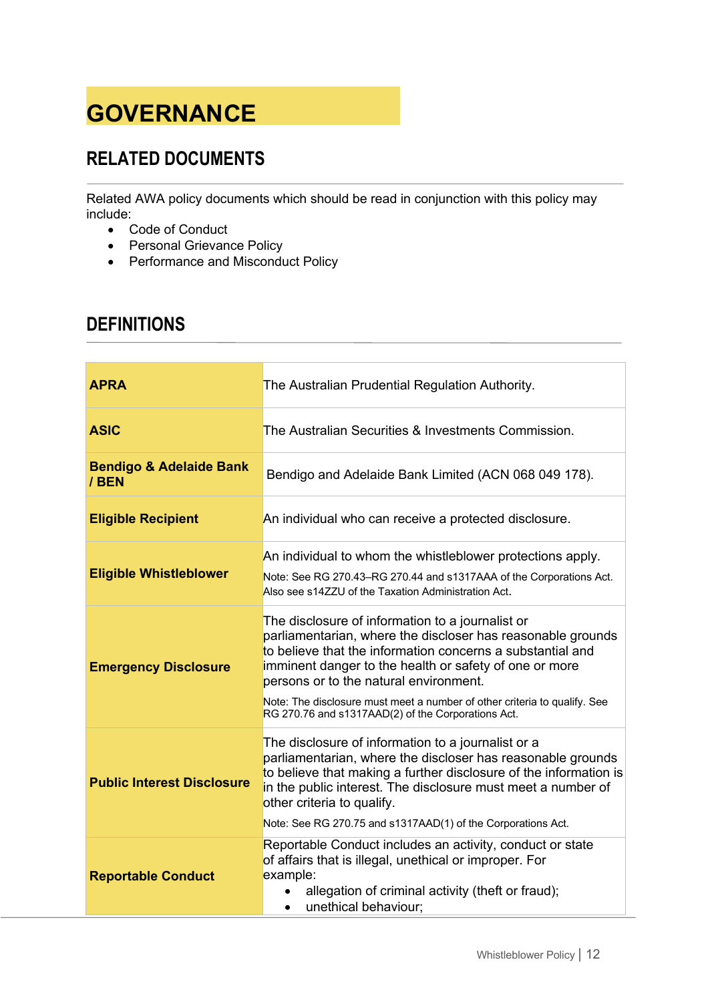# **GOVERNANCE**

# **RELATED DOCUMENTS**

Related AWA policy documents which should be read in conjunction with this policy may include:

- Code of Conduct
- Personal Grievance Policy
- Performance and Misconduct Policy

# **DEFINITIONS**

| <b>APRA</b>                                 | The Australian Prudential Regulation Authority.                                                                                                                                                                                                                                                                                                                                                                      |  |  |  |
|---------------------------------------------|----------------------------------------------------------------------------------------------------------------------------------------------------------------------------------------------------------------------------------------------------------------------------------------------------------------------------------------------------------------------------------------------------------------------|--|--|--|
| <b>ASIC</b>                                 | The Australian Securities & Investments Commission.                                                                                                                                                                                                                                                                                                                                                                  |  |  |  |
| <b>Bendigo &amp; Adelaide Bank</b><br>/ BEN | Bendigo and Adelaide Bank Limited (ACN 068 049 178).                                                                                                                                                                                                                                                                                                                                                                 |  |  |  |
| <b>Eligible Recipient</b>                   | An individual who can receive a protected disclosure.                                                                                                                                                                                                                                                                                                                                                                |  |  |  |
| <b>Eligible Whistleblower</b>               | An individual to whom the whistleblower protections apply.<br>Note: See RG 270.43–RG 270.44 and s1317AAA of the Corporations Act.<br>Also see s14ZZU of the Taxation Administration Act.                                                                                                                                                                                                                             |  |  |  |
| <b>Emergency Disclosure</b>                 | The disclosure of information to a journalist or<br>parliamentarian, where the discloser has reasonable grounds<br>to believe that the information concerns a substantial and<br>imminent danger to the health or safety of one or more<br>persons or to the natural environment.<br>Note: The disclosure must meet a number of other criteria to qualify. See<br>RG 270.76 and s1317AAD(2) of the Corporations Act. |  |  |  |
| <b>Public Interest Disclosure</b>           | The disclosure of information to a journalist or a<br>parliamentarian, where the discloser has reasonable grounds<br>to believe that making a further disclosure of the information is<br>in the public interest. The disclosure must meet a number of<br>other criteria to qualify.                                                                                                                                 |  |  |  |
| <b>Reportable Conduct</b>                   | Note: See RG 270.75 and s1317AAD(1) of the Corporations Act.<br>Reportable Conduct includes an activity, conduct or state<br>of affairs that is illegal, unethical or improper. For<br>example:<br>allegation of criminal activity (theft or fraud);<br>unethical behaviour;                                                                                                                                         |  |  |  |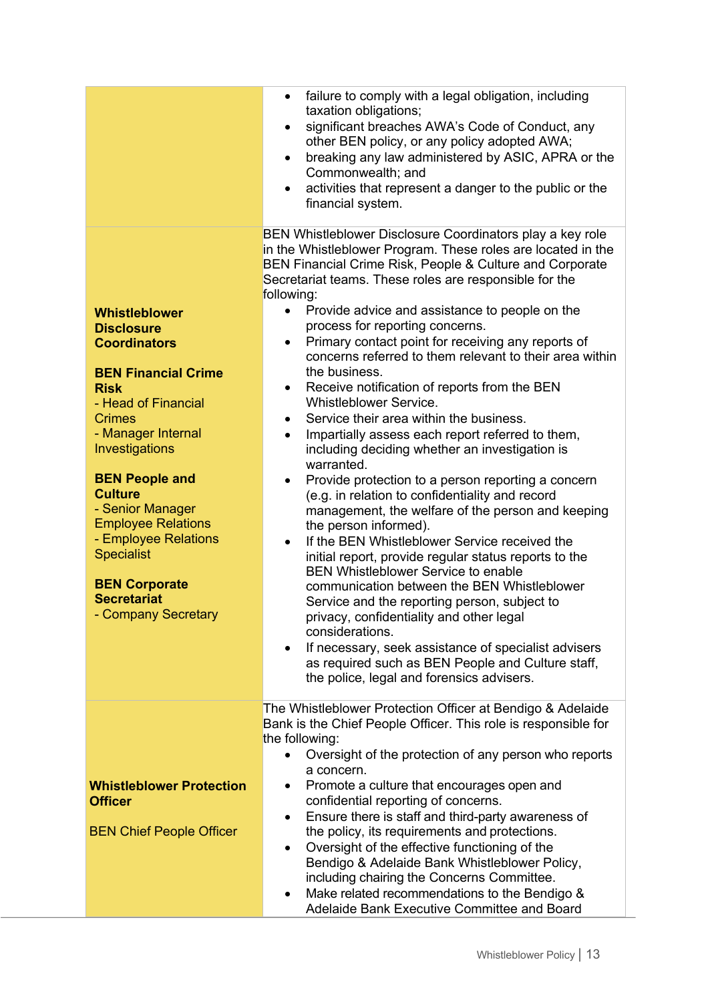|                                          | failure to comply with a legal obligation, including<br>$\bullet$                                                                                                                                                                                                                                     |  |  |  |  |
|------------------------------------------|-------------------------------------------------------------------------------------------------------------------------------------------------------------------------------------------------------------------------------------------------------------------------------------------------------|--|--|--|--|
|                                          | taxation obligations;<br>significant breaches AWA's Code of Conduct, any<br>$\bullet$<br>other BEN policy, or any policy adopted AWA;<br>breaking any law administered by ASIC, APRA or the<br>$\bullet$<br>Commonwealth; and<br>activities that represent a danger to the public or the<br>$\bullet$ |  |  |  |  |
|                                          | financial system.                                                                                                                                                                                                                                                                                     |  |  |  |  |
|                                          | BEN Whistleblower Disclosure Coordinators play a key role<br>in the Whistleblower Program. These roles are located in the<br>BEN Financial Crime Risk, People & Culture and Corporate<br>Secretariat teams. These roles are responsible for the<br>following:                                         |  |  |  |  |
| Whistleblower                            | Provide advice and assistance to people on the<br>$\bullet$                                                                                                                                                                                                                                           |  |  |  |  |
| <b>Disclosure</b><br><b>Coordinators</b> | process for reporting concerns.<br>Primary contact point for receiving any reports of<br>$\bullet$                                                                                                                                                                                                    |  |  |  |  |
|                                          | concerns referred to them relevant to their area within                                                                                                                                                                                                                                               |  |  |  |  |
| <b>BEN Financial Crime</b>               | the business.                                                                                                                                                                                                                                                                                         |  |  |  |  |
| <b>Risk</b>                              | Receive notification of reports from the BEN<br>$\bullet$                                                                                                                                                                                                                                             |  |  |  |  |
| - Head of Financial<br><b>Crimes</b>     | Whistleblower Service.<br>Service their area within the business.<br>$\bullet$                                                                                                                                                                                                                        |  |  |  |  |
| - Manager Internal                       | Impartially assess each report referred to them,<br>$\bullet$                                                                                                                                                                                                                                         |  |  |  |  |
| Investigations                           | including deciding whether an investigation is                                                                                                                                                                                                                                                        |  |  |  |  |
|                                          | warranted.                                                                                                                                                                                                                                                                                            |  |  |  |  |
| <b>BEN People and</b><br><b>Culture</b>  | Provide protection to a person reporting a concern<br>$\bullet$                                                                                                                                                                                                                                       |  |  |  |  |
| - Senior Manager                         | (e.g. in relation to confidentiality and record<br>management, the welfare of the person and keeping                                                                                                                                                                                                  |  |  |  |  |
| <b>Employee Relations</b>                | the person informed).                                                                                                                                                                                                                                                                                 |  |  |  |  |
| - Employee Relations                     | If the BEN Whistleblower Service received the<br>$\bullet$                                                                                                                                                                                                                                            |  |  |  |  |
| <b>Specialist</b>                        | initial report, provide regular status reports to the                                                                                                                                                                                                                                                 |  |  |  |  |
| <b>BEN Corporate</b>                     | <b>BEN Whistleblower Service to enable</b>                                                                                                                                                                                                                                                            |  |  |  |  |
| <b>Secretariat</b>                       | communication between the BEN Whistleblower<br>Service and the reporting person, subject to                                                                                                                                                                                                           |  |  |  |  |
| - Company Secretary                      | privacy, confidentiality and other legal                                                                                                                                                                                                                                                              |  |  |  |  |
|                                          | considerations.                                                                                                                                                                                                                                                                                       |  |  |  |  |
|                                          | If necessary, seek assistance of specialist advisers                                                                                                                                                                                                                                                  |  |  |  |  |
|                                          | as required such as BEN People and Culture staff,                                                                                                                                                                                                                                                     |  |  |  |  |
|                                          | the police, legal and forensics advisers.                                                                                                                                                                                                                                                             |  |  |  |  |
|                                          | The Whistleblower Protection Officer at Bendigo & Adelaide                                                                                                                                                                                                                                            |  |  |  |  |
|                                          | Bank is the Chief People Officer. This role is responsible for                                                                                                                                                                                                                                        |  |  |  |  |
|                                          | the following:                                                                                                                                                                                                                                                                                        |  |  |  |  |
|                                          | Oversight of the protection of any person who reports<br>a concern.                                                                                                                                                                                                                                   |  |  |  |  |
| <b>Whistleblower Protection</b>          | Promote a culture that encourages open and                                                                                                                                                                                                                                                            |  |  |  |  |
| <b>Officer</b>                           | confidential reporting of concerns.                                                                                                                                                                                                                                                                   |  |  |  |  |
|                                          | Ensure there is staff and third-party awareness of<br>$\bullet$                                                                                                                                                                                                                                       |  |  |  |  |
| <b>BEN Chief People Officer</b>          | the policy, its requirements and protections.                                                                                                                                                                                                                                                         |  |  |  |  |
|                                          | Oversight of the effective functioning of the<br>$\bullet$<br>Bendigo & Adelaide Bank Whistleblower Policy,                                                                                                                                                                                           |  |  |  |  |
|                                          | including chairing the Concerns Committee.                                                                                                                                                                                                                                                            |  |  |  |  |
|                                          | Make related recommendations to the Bendigo &<br>٠                                                                                                                                                                                                                                                    |  |  |  |  |
|                                          | Adelaide Bank Executive Committee and Board                                                                                                                                                                                                                                                           |  |  |  |  |